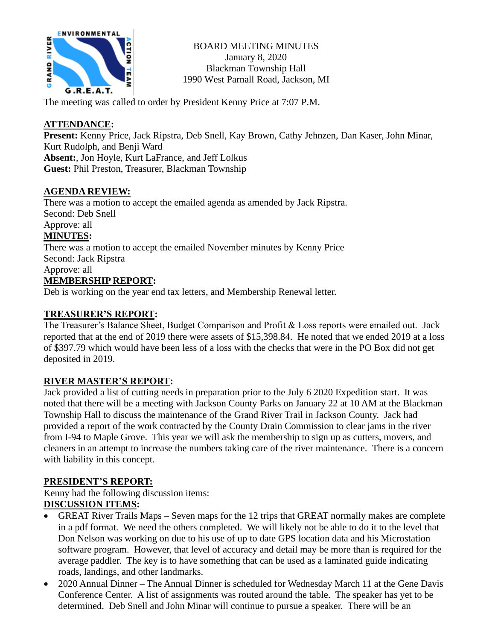

BOARD MEETING MINUTES January 8, 2020 Blackman Township Hall 1990 West Parnall Road, Jackson, MI

The meeting was called to order by President Kenny Price at 7:07 P.M.

## **ATTENDANCE:**

**Present:** Kenny Price, Jack Ripstra, Deb Snell, Kay Brown, Cathy Jehnzen, Dan Kaser, John Minar, Kurt Rudolph, and Benji Ward **Absent:**, Jon Hoyle, Kurt LaFrance, and Jeff Lolkus

**Guest:** Phil Preston, Treasurer, Blackman Township

#### **AGENDA REVIEW:**

There was a motion to accept the emailed agenda as amended by Jack Ripstra. Second: Deb Snell Approve: all

# **MINUTES:**

There was a motion to accept the emailed November minutes by Kenny Price Second: Jack Ripstra Approve: all

#### **MEMBERSHIP REPORT:**

Deb is working on the year end tax letters, and Membership Renewal letter.

## **TREASURER'S REPORT:**

The Treasurer's Balance Sheet, Budget Comparison and Profit & Loss reports were emailed out. Jack reported that at the end of 2019 there were assets of \$15,398.84. He noted that we ended 2019 at a loss of \$397.79 which would have been less of a loss with the checks that were in the PO Box did not get deposited in 2019.

#### **RIVER MASTER'S REPORT:**

Jack provided a list of cutting needs in preparation prior to the July 6 2020 Expedition start. It was noted that there will be a meeting with Jackson County Parks on January 22 at 10 AM at the Blackman Township Hall to discuss the maintenance of the Grand River Trail in Jackson County. Jack had provided a report of the work contracted by the County Drain Commission to clear jams in the river from I-94 to Maple Grove. This year we will ask the membership to sign up as cutters, movers, and cleaners in an attempt to increase the numbers taking care of the river maintenance. There is a concern with liability in this concept.

#### **PRESIDENT'S REPORT:**

Kenny had the following discussion items:

#### **DISCUSSION ITEMS:**

- GREAT River Trails Maps Seven maps for the 12 trips that GREAT normally makes are complete in a pdf format. We need the others completed. We will likely not be able to do it to the level that Don Nelson was working on due to his use of up to date GPS location data and his Microstation software program. However, that level of accuracy and detail may be more than is required for the average paddler. The key is to have something that can be used as a laminated guide indicating roads, landings, and other landmarks.
- 2020 Annual Dinner The Annual Dinner is scheduled for Wednesday March 11 at the Gene Davis Conference Center. A list of assignments was routed around the table. The speaker has yet to be determined. Deb Snell and John Minar will continue to pursue a speaker. There will be an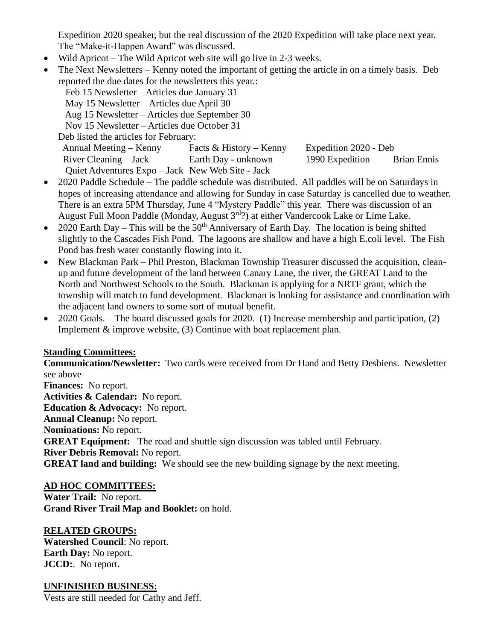Expedition 2020 speaker, but the real discussion of the 2020 Expedition will take place next year. The "Make-it-Happen Award" was discussed.

- Wild Apricot The Wild Apricot web site will go live in 2-3 weeks.
- The Next Newsletters Kenny noted the important of getting the article in on a timely basis. Deb reported the due dates for the newsletters this year.:

| Facts & History – Kenny |                                                                                                                                                                                                                                                                                       |                       |
|-------------------------|---------------------------------------------------------------------------------------------------------------------------------------------------------------------------------------------------------------------------------------------------------------------------------------|-----------------------|
| Earth Day - unknown     | 1990 Expedition                                                                                                                                                                                                                                                                       | <b>Brian Ennis</b>    |
|                         |                                                                                                                                                                                                                                                                                       |                       |
|                         | Feb 15 Newsletter – Articles due January 31<br>May 15 Newsletter – Articles due April 30<br>Aug 15 Newsletter – Articles due September 30<br>Nov 15 Newsletter – Articles due October 31<br>Deb listed the articles for February:<br>Quiet Adventures Expo – Jack New Web Site - Jack | Expedition 2020 - Deb |

- 2020 Paddle Schedule The paddle schedule was distributed. All paddles will be on Saturdays in hopes of increasing attendance and allowing for Sunday in case Saturday is cancelled due to weather. There is an extra 5PM Thursday, June 4 "Mystery Paddle" this year. There was discussion of an August Full Moon Paddle (Monday, August 3rd?) at either Vandercook Lake or Lime Lake.
- 2020 Earth Day This will be the  $50<sup>th</sup>$  Anniversary of Earth Day. The location is being shifted slightly to the Cascades Fish Pond. The lagoons are shallow and have a high E.coli level. The Fish Pond has fresh water constantly flowing into it.
- New Blackman Park Phil Preston, Blackman Township Treasurer discussed the acquisition, cleanup and future development of the land between Canary Lane, the river, the GREAT Land to the North and Northwest Schools to the South. Blackman is applying for a NRTF grant, which the township will match to fund development. Blackman is looking for assistance and coordination with the adjacent land owners to some sort of mutual benefit.
- 2020 Goals. The board discussed goals for 2020. (1) Increase membership and participation, (2) Implement  $&$  improve website, (3) Continue with boat replacement plan.

#### **Standing Committees:**

**Communication/Newsletter:** Two cards were received from Dr Hand and Betty Desbiens. Newsletter see above

**Finances:** No report. **Activities & Calendar:** No report. **Education & Advocacy:** No report. **Annual Cleanup:** No report. **Nominations:** No report. **GREAT Equipment:** The road and shuttle sign discussion was tabled until February. **River Debris Removal:** No report. **GREAT land and building:** We should see the new building signage by the next meeting.

#### **AD HOC COMMITTEES:**

**Water Trail:** No report. **Grand River Trail Map and Booklet:** on hold.

#### **RELATED GROUPS:**

**Watershed Council**: No report. **Earth Day:** No report. **JCCD:**. No report.

#### **UNFINISHED BUSINESS:**

Vests are still needed for Cathy and Jeff.